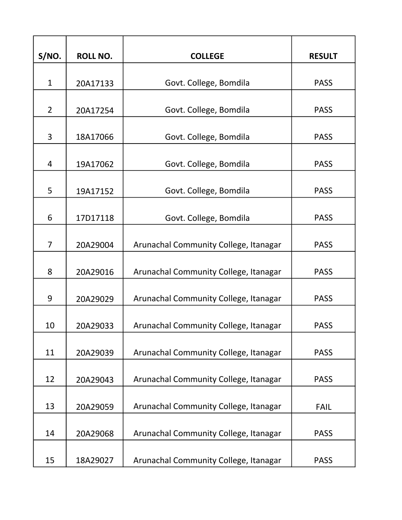| S/NO.          | <b>ROLL NO.</b> | <b>COLLEGE</b>                        | <b>RESULT</b> |
|----------------|-----------------|---------------------------------------|---------------|
|                |                 |                                       |               |
| 1              | 20A17133        | Govt. College, Bomdila                | <b>PASS</b>   |
| $\overline{2}$ | 20A17254        | Govt. College, Bomdila                | <b>PASS</b>   |
| 3              | 18A17066        | Govt. College, Bomdila                | <b>PASS</b>   |
| 4              | 19A17062        | Govt. College, Bomdila                | <b>PASS</b>   |
| 5              | 19A17152        | Govt. College, Bomdila                | <b>PASS</b>   |
| 6              | 17D17118        | Govt. College, Bomdila                | <b>PASS</b>   |
| $\overline{7}$ | 20A29004        | Arunachal Community College, Itanagar | <b>PASS</b>   |
| 8              | 20A29016        | Arunachal Community College, Itanagar | <b>PASS</b>   |
| 9              | 20A29029        | Arunachal Community College, Itanagar | <b>PASS</b>   |
| 10             | 20A29033        | Arunachal Community College, Itanagar | <b>PASS</b>   |
| 11             | 20A29039        | Arunachal Community College, Itanagar | <b>PASS</b>   |
| 12             | 20A29043        | Arunachal Community College, Itanagar | <b>PASS</b>   |
| 13             | 20A29059        | Arunachal Community College, Itanagar | <b>FAIL</b>   |
| 14             | 20A29068        | Arunachal Community College, Itanagar | <b>PASS</b>   |
| 15             | 18A29027        | Arunachal Community College, Itanagar | <b>PASS</b>   |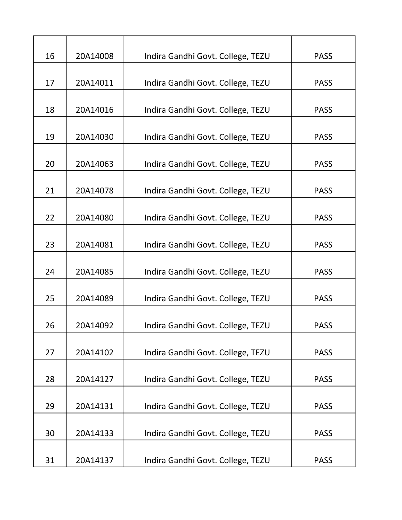| 16 | 20A14008 | Indira Gandhi Govt. College, TEZU | <b>PASS</b> |
|----|----------|-----------------------------------|-------------|
| 17 | 20A14011 | Indira Gandhi Govt. College, TEZU | <b>PASS</b> |
| 18 | 20A14016 | Indira Gandhi Govt. College, TEZU | <b>PASS</b> |
| 19 | 20A14030 | Indira Gandhi Govt. College, TEZU | <b>PASS</b> |
| 20 | 20A14063 | Indira Gandhi Govt. College, TEZU | <b>PASS</b> |
| 21 | 20A14078 | Indira Gandhi Govt. College, TEZU | <b>PASS</b> |
| 22 | 20A14080 | Indira Gandhi Govt. College, TEZU | <b>PASS</b> |
| 23 | 20A14081 | Indira Gandhi Govt. College, TEZU | <b>PASS</b> |
| 24 | 20A14085 | Indira Gandhi Govt. College, TEZU | <b>PASS</b> |
| 25 | 20A14089 | Indira Gandhi Govt. College, TEZU | <b>PASS</b> |
| 26 | 20A14092 | Indira Gandhi Govt. College, TEZU | <b>PASS</b> |
| 27 | 20A14102 | Indira Gandhi Govt. College, TEZU | <b>PASS</b> |
| 28 | 20A14127 | Indira Gandhi Govt. College, TEZU | <b>PASS</b> |
| 29 | 20A14131 | Indira Gandhi Govt. College, TEZU | <b>PASS</b> |
| 30 | 20A14133 | Indira Gandhi Govt. College, TEZU | <b>PASS</b> |
| 31 | 20A14137 | Indira Gandhi Govt. College, TEZU | <b>PASS</b> |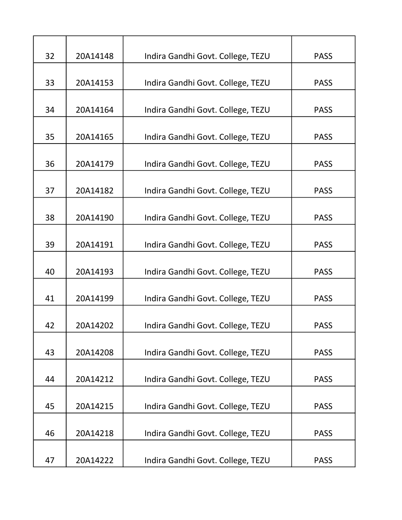| 32 | 20A14148 | Indira Gandhi Govt. College, TEZU | <b>PASS</b> |
|----|----------|-----------------------------------|-------------|
| 33 | 20A14153 | Indira Gandhi Govt. College, TEZU | <b>PASS</b> |
| 34 | 20A14164 | Indira Gandhi Govt. College, TEZU | <b>PASS</b> |
| 35 | 20A14165 | Indira Gandhi Govt. College, TEZU | <b>PASS</b> |
| 36 | 20A14179 | Indira Gandhi Govt. College, TEZU | <b>PASS</b> |
| 37 | 20A14182 | Indira Gandhi Govt. College, TEZU | <b>PASS</b> |
| 38 | 20A14190 | Indira Gandhi Govt. College, TEZU | <b>PASS</b> |
| 39 | 20A14191 | Indira Gandhi Govt. College, TEZU | <b>PASS</b> |
| 40 | 20A14193 | Indira Gandhi Govt. College, TEZU | <b>PASS</b> |
| 41 | 20A14199 | Indira Gandhi Govt. College, TEZU | <b>PASS</b> |
| 42 | 20A14202 | Indira Gandhi Govt. College, TEZU | <b>PASS</b> |
| 43 | 20A14208 | Indira Gandhi Govt. College, TEZU | <b>PASS</b> |
| 44 | 20A14212 | Indira Gandhi Govt. College, TEZU | <b>PASS</b> |
| 45 | 20A14215 | Indira Gandhi Govt. College, TEZU | <b>PASS</b> |
| 46 | 20A14218 | Indira Gandhi Govt. College, TEZU | <b>PASS</b> |
| 47 | 20A14222 | Indira Gandhi Govt. College, TEZU | <b>PASS</b> |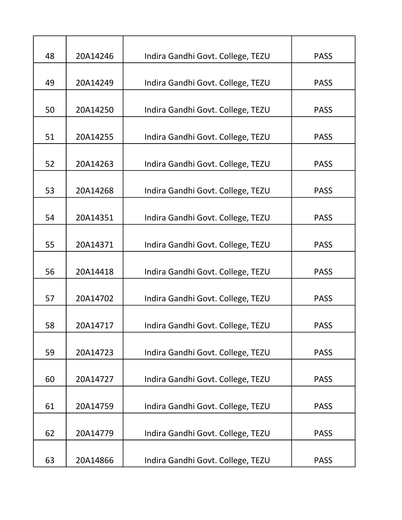| 48 | 20A14246 | Indira Gandhi Govt. College, TEZU | <b>PASS</b> |
|----|----------|-----------------------------------|-------------|
| 49 | 20A14249 | Indira Gandhi Govt. College, TEZU | <b>PASS</b> |
| 50 | 20A14250 | Indira Gandhi Govt. College, TEZU | <b>PASS</b> |
| 51 | 20A14255 | Indira Gandhi Govt. College, TEZU | <b>PASS</b> |
| 52 | 20A14263 | Indira Gandhi Govt. College, TEZU | <b>PASS</b> |
| 53 | 20A14268 | Indira Gandhi Govt. College, TEZU | <b>PASS</b> |
| 54 | 20A14351 | Indira Gandhi Govt. College, TEZU | <b>PASS</b> |
| 55 | 20A14371 | Indira Gandhi Govt. College, TEZU | <b>PASS</b> |
| 56 | 20A14418 | Indira Gandhi Govt. College, TEZU | <b>PASS</b> |
| 57 | 20A14702 | Indira Gandhi Govt. College, TEZU | <b>PASS</b> |
| 58 | 20A14717 | Indira Gandhi Govt. College, TEZU | <b>PASS</b> |
| 59 | 20A14723 | Indira Gandhi Govt. College, TEZU | <b>PASS</b> |
| 60 | 20A14727 | Indira Gandhi Govt. College, TEZU | <b>PASS</b> |
| 61 | 20A14759 | Indira Gandhi Govt. College, TEZU | <b>PASS</b> |
| 62 | 20A14779 | Indira Gandhi Govt. College, TEZU | <b>PASS</b> |
| 63 | 20A14866 | Indira Gandhi Govt. College, TEZU | <b>PASS</b> |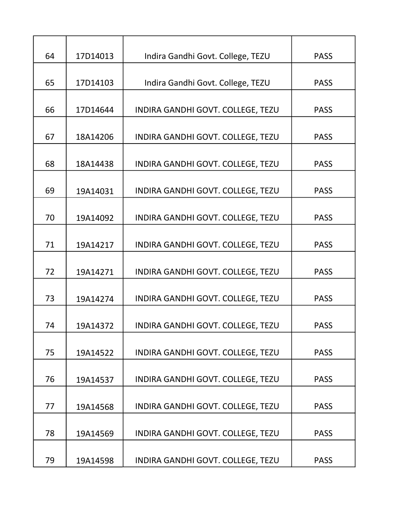| 64 | 17D14013 | Indira Gandhi Govt. College, TEZU | <b>PASS</b> |
|----|----------|-----------------------------------|-------------|
| 65 | 17D14103 | Indira Gandhi Govt. College, TEZU | <b>PASS</b> |
| 66 | 17D14644 | INDIRA GANDHI GOVT. COLLEGE, TEZU | <b>PASS</b> |
| 67 | 18A14206 | INDIRA GANDHI GOVT. COLLEGE, TEZU | <b>PASS</b> |
| 68 | 18A14438 | INDIRA GANDHI GOVT. COLLEGE, TEZU | <b>PASS</b> |
| 69 | 19A14031 | INDIRA GANDHI GOVT. COLLEGE, TEZU | <b>PASS</b> |
| 70 | 19A14092 | INDIRA GANDHI GOVT. COLLEGE, TEZU | <b>PASS</b> |
| 71 | 19A14217 | INDIRA GANDHI GOVT. COLLEGE, TEZU | <b>PASS</b> |
| 72 | 19A14271 | INDIRA GANDHI GOVT. COLLEGE, TEZU | <b>PASS</b> |
| 73 | 19A14274 | INDIRA GANDHI GOVT. COLLEGE, TEZU | <b>PASS</b> |
| 74 |          |                                   | <b>PASS</b> |
|    | 19A14372 | INDIRA GANDHI GOVT. COLLEGE, TEZU |             |
| 75 | 19A14522 | INDIRA GANDHI GOVT. COLLEGE, TEZU | <b>PASS</b> |
| 76 | 19A14537 | INDIRA GANDHI GOVT. COLLEGE, TEZU | <b>PASS</b> |
| 77 | 19A14568 | INDIRA GANDHI GOVT. COLLEGE, TEZU | <b>PASS</b> |
| 78 | 19A14569 | INDIRA GANDHI GOVT. COLLEGE, TEZU | <b>PASS</b> |
| 79 | 19A14598 | INDIRA GANDHI GOVT. COLLEGE, TEZU | <b>PASS</b> |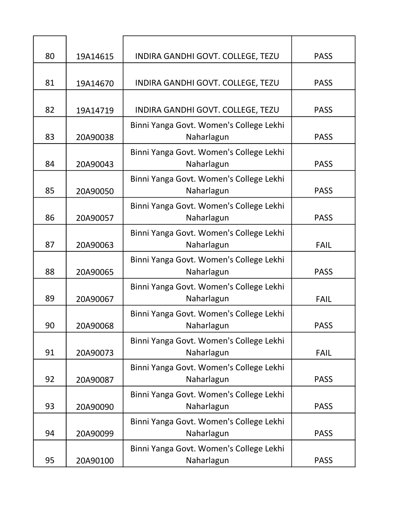| 80 | 19A14615 | INDIRA GANDHI GOVT. COLLEGE, TEZU                     | <b>PASS</b> |
|----|----------|-------------------------------------------------------|-------------|
|    |          |                                                       |             |
| 81 | 19A14670 | INDIRA GANDHI GOVT. COLLEGE, TEZU                     | <b>PASS</b> |
| 82 | 19A14719 | INDIRA GANDHI GOVT. COLLEGE, TEZU                     | <b>PASS</b> |
| 83 | 20A90038 | Binni Yanga Govt. Women's College Lekhi<br>Naharlagun | <b>PASS</b> |
| 84 | 20A90043 | Binni Yanga Govt. Women's College Lekhi<br>Naharlagun | <b>PASS</b> |
| 85 | 20A90050 | Binni Yanga Govt. Women's College Lekhi<br>Naharlagun | <b>PASS</b> |
| 86 | 20A90057 | Binni Yanga Govt. Women's College Lekhi<br>Naharlagun | <b>PASS</b> |
| 87 | 20A90063 | Binni Yanga Govt. Women's College Lekhi<br>Naharlagun | <b>FAIL</b> |
| 88 | 20A90065 | Binni Yanga Govt. Women's College Lekhi<br>Naharlagun | <b>PASS</b> |
| 89 | 20A90067 | Binni Yanga Govt. Women's College Lekhi<br>Naharlagun | <b>FAIL</b> |
| 90 | 20A90068 | Binni Yanga Govt. Women's College Lekhi<br>Naharlagun | <b>PASS</b> |
| 91 | 20A90073 | Binni Yanga Govt. Women's College Lekhi<br>Naharlagun | <b>FAIL</b> |
| 92 | 20A90087 | Binni Yanga Govt. Women's College Lekhi<br>Naharlagun | <b>PASS</b> |
| 93 | 20A90090 | Binni Yanga Govt. Women's College Lekhi<br>Naharlagun | <b>PASS</b> |
| 94 | 20A90099 | Binni Yanga Govt. Women's College Lekhi<br>Naharlagun | <b>PASS</b> |
| 95 | 20A90100 | Binni Yanga Govt. Women's College Lekhi<br>Naharlagun | <b>PASS</b> |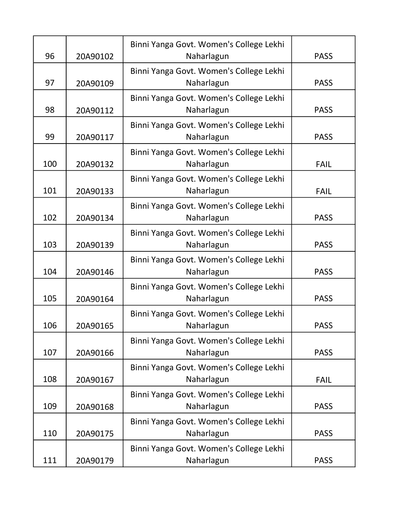|     |          | Binni Yanga Govt. Women's College Lekhi               |             |
|-----|----------|-------------------------------------------------------|-------------|
| 96  | 20A90102 | Naharlagun                                            | <b>PASS</b> |
| 97  | 20A90109 | Binni Yanga Govt. Women's College Lekhi<br>Naharlagun | <b>PASS</b> |
| 98  | 20A90112 | Binni Yanga Govt. Women's College Lekhi<br>Naharlagun | <b>PASS</b> |
| 99  | 20A90117 | Binni Yanga Govt. Women's College Lekhi<br>Naharlagun | <b>PASS</b> |
| 100 | 20A90132 | Binni Yanga Govt. Women's College Lekhi<br>Naharlagun | <b>FAIL</b> |
| 101 | 20A90133 | Binni Yanga Govt. Women's College Lekhi<br>Naharlagun | <b>FAIL</b> |
| 102 | 20A90134 | Binni Yanga Govt. Women's College Lekhi<br>Naharlagun | <b>PASS</b> |
| 103 | 20A90139 | Binni Yanga Govt. Women's College Lekhi<br>Naharlagun | <b>PASS</b> |
| 104 | 20A90146 | Binni Yanga Govt. Women's College Lekhi<br>Naharlagun | <b>PASS</b> |
| 105 | 20A90164 | Binni Yanga Govt. Women's College Lekhi<br>Naharlagun | <b>PASS</b> |
| 106 | 20A90165 | Binni Yanga Govt. Women's College Lekhi<br>Naharlagun | <b>PASS</b> |
| 107 | 20A90166 | Binni Yanga Govt. Women's College Lekhi<br>Naharlagun | <b>PASS</b> |
| 108 | 20A90167 | Binni Yanga Govt. Women's College Lekhi<br>Naharlagun | <b>FAIL</b> |
| 109 | 20A90168 | Binni Yanga Govt. Women's College Lekhi<br>Naharlagun | <b>PASS</b> |
| 110 | 20A90175 | Binni Yanga Govt. Women's College Lekhi<br>Naharlagun | <b>PASS</b> |
| 111 | 20A90179 | Binni Yanga Govt. Women's College Lekhi<br>Naharlagun | <b>PASS</b> |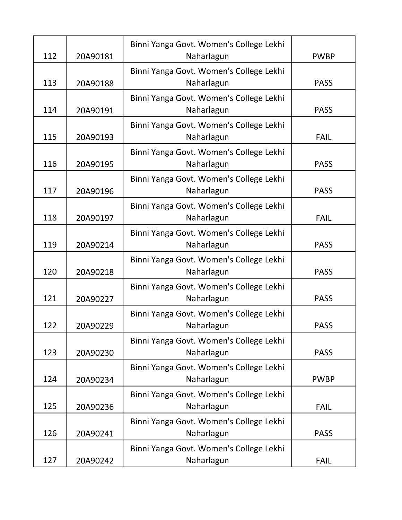| 112 | 20A90181 | Binni Yanga Govt. Women's College Lekhi<br>Naharlagun | <b>PWBP</b> |
|-----|----------|-------------------------------------------------------|-------------|
| 113 | 20A90188 | Binni Yanga Govt. Women's College Lekhi<br>Naharlagun | <b>PASS</b> |
| 114 | 20A90191 | Binni Yanga Govt. Women's College Lekhi<br>Naharlagun | <b>PASS</b> |
| 115 | 20A90193 | Binni Yanga Govt. Women's College Lekhi<br>Naharlagun | <b>FAIL</b> |
| 116 | 20A90195 | Binni Yanga Govt. Women's College Lekhi<br>Naharlagun | <b>PASS</b> |
| 117 | 20A90196 | Binni Yanga Govt. Women's College Lekhi<br>Naharlagun | <b>PASS</b> |
| 118 | 20A90197 | Binni Yanga Govt. Women's College Lekhi<br>Naharlagun | <b>FAIL</b> |
| 119 | 20A90214 | Binni Yanga Govt. Women's College Lekhi<br>Naharlagun | <b>PASS</b> |
| 120 | 20A90218 | Binni Yanga Govt. Women's College Lekhi<br>Naharlagun | <b>PASS</b> |
| 121 | 20A90227 | Binni Yanga Govt. Women's College Lekhi<br>Naharlagun | <b>PASS</b> |
| 122 | 20A90229 | Binni Yanga Govt. Women's College Lekhi<br>Naharlagun | <b>PASS</b> |
| 123 | 20A90230 | Binni Yanga Govt. Women's College Lekhi<br>Naharlagun | <b>PASS</b> |
| 124 | 20A90234 | Binni Yanga Govt. Women's College Lekhi<br>Naharlagun | <b>PWBP</b> |
| 125 | 20A90236 | Binni Yanga Govt. Women's College Lekhi<br>Naharlagun | <b>FAIL</b> |
| 126 | 20A90241 | Binni Yanga Govt. Women's College Lekhi<br>Naharlagun | <b>PASS</b> |
| 127 | 20A90242 | Binni Yanga Govt. Women's College Lekhi<br>Naharlagun | <b>FAIL</b> |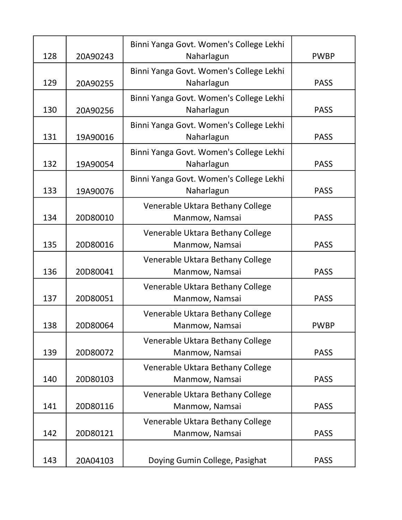| 128 | 20A90243 | Binni Yanga Govt. Women's College Lekhi<br>Naharlagun | <b>PWBP</b> |
|-----|----------|-------------------------------------------------------|-------------|
| 129 | 20A90255 | Binni Yanga Govt. Women's College Lekhi<br>Naharlagun | <b>PASS</b> |
| 130 | 20A90256 | Binni Yanga Govt. Women's College Lekhi<br>Naharlagun | <b>PASS</b> |
| 131 | 19A90016 | Binni Yanga Govt. Women's College Lekhi<br>Naharlagun | <b>PASS</b> |
| 132 | 19A90054 | Binni Yanga Govt. Women's College Lekhi<br>Naharlagun | <b>PASS</b> |
| 133 | 19A90076 | Binni Yanga Govt. Women's College Lekhi<br>Naharlagun | <b>PASS</b> |
| 134 | 20D80010 | Venerable Uktara Bethany College<br>Manmow, Namsai    | <b>PASS</b> |
| 135 | 20D80016 | Venerable Uktara Bethany College<br>Manmow, Namsai    | <b>PASS</b> |
| 136 | 20D80041 | Venerable Uktara Bethany College<br>Manmow, Namsai    | <b>PASS</b> |
| 137 | 20D80051 | Venerable Uktara Bethany College<br>Manmow, Namsai    | <b>PASS</b> |
| 138 | 20D80064 | Venerable Uktara Bethany College<br>Manmow, Namsai    | <b>PWBP</b> |
| 139 | 20D80072 | Venerable Uktara Bethany College<br>Manmow, Namsai    | <b>PASS</b> |
| 140 | 20D80103 | Venerable Uktara Bethany College<br>Manmow, Namsai    | <b>PASS</b> |
| 141 | 20D80116 | Venerable Uktara Bethany College<br>Manmow, Namsai    | <b>PASS</b> |
| 142 | 20D80121 | Venerable Uktara Bethany College<br>Manmow, Namsai    | <b>PASS</b> |
| 143 | 20A04103 | Doying Gumin College, Pasighat                        | <b>PASS</b> |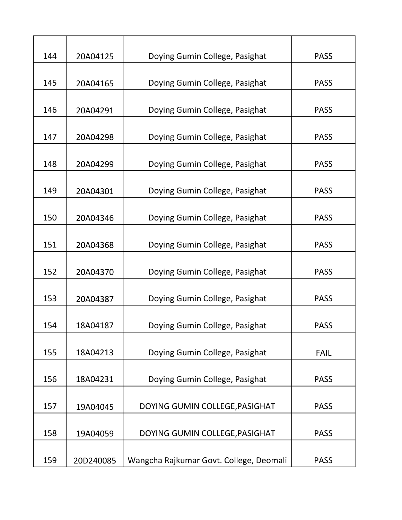| 144 | 20A04125  | Doying Gumin College, Pasighat          | <b>PASS</b> |
|-----|-----------|-----------------------------------------|-------------|
| 145 | 20A04165  | Doying Gumin College, Pasighat          | <b>PASS</b> |
| 146 | 20A04291  | Doying Gumin College, Pasighat          | <b>PASS</b> |
| 147 | 20A04298  | Doying Gumin College, Pasighat          | <b>PASS</b> |
| 148 | 20A04299  | Doying Gumin College, Pasighat          | <b>PASS</b> |
| 149 | 20A04301  | Doying Gumin College, Pasighat          | <b>PASS</b> |
| 150 | 20A04346  | Doying Gumin College, Pasighat          | <b>PASS</b> |
| 151 | 20A04368  | Doying Gumin College, Pasighat          | <b>PASS</b> |
| 152 | 20A04370  |                                         | <b>PASS</b> |
|     |           | Doying Gumin College, Pasighat          |             |
| 153 | 20A04387  | Doying Gumin College, Pasighat          | <b>PASS</b> |
| 154 | 18A04187  | Doying Gumin College, Pasighat          | <b>PASS</b> |
| 155 | 18A04213  | Doying Gumin College, Pasighat          | <b>FAIL</b> |
| 156 | 18A04231  | Doying Gumin College, Pasighat          | <b>PASS</b> |
| 157 | 19A04045  | DOYING GUMIN COLLEGE, PASIGHAT          | <b>PASS</b> |
| 158 | 19A04059  | DOYING GUMIN COLLEGE, PASIGHAT          | <b>PASS</b> |
| 159 | 20D240085 | Wangcha Rajkumar Govt. College, Deomali | <b>PASS</b> |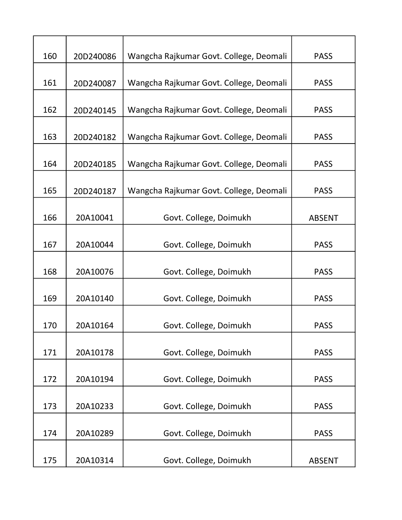| 160 | 20D240086 | Wangcha Rajkumar Govt. College, Deomali | <b>PASS</b>   |
|-----|-----------|-----------------------------------------|---------------|
| 161 | 20D240087 | Wangcha Rajkumar Govt. College, Deomali | <b>PASS</b>   |
| 162 | 20D240145 | Wangcha Rajkumar Govt. College, Deomali | <b>PASS</b>   |
| 163 | 20D240182 | Wangcha Rajkumar Govt. College, Deomali | <b>PASS</b>   |
| 164 | 20D240185 | Wangcha Rajkumar Govt. College, Deomali | <b>PASS</b>   |
| 165 | 20D240187 | Wangcha Rajkumar Govt. College, Deomali | <b>PASS</b>   |
| 166 | 20A10041  | Govt. College, Doimukh                  | <b>ABSENT</b> |
| 167 | 20A10044  | Govt. College, Doimukh                  | <b>PASS</b>   |
| 168 | 20A10076  | Govt. College, Doimukh                  | <b>PASS</b>   |
| 169 | 20A10140  | Govt. College, Doimukh                  | <b>PASS</b>   |
| 170 | 20A10164  | Govt. College, Doimukh                  | <b>PASS</b>   |
| 171 | 20A10178  | Govt. College, Doimukh                  | <b>PASS</b>   |
| 172 | 20A10194  | Govt. College, Doimukh                  | <b>PASS</b>   |
| 173 | 20A10233  | Govt. College, Doimukh                  | <b>PASS</b>   |
| 174 | 20A10289  | Govt. College, Doimukh                  | <b>PASS</b>   |
| 175 | 20A10314  | Govt. College, Doimukh                  | <b>ABSENT</b> |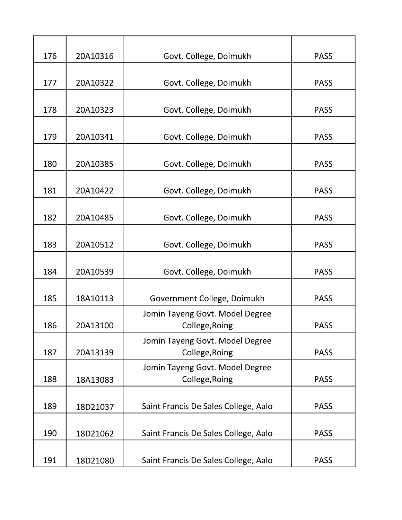| 176 | 20A10316 | Govt. College, Doimukh                            | <b>PASS</b> |
|-----|----------|---------------------------------------------------|-------------|
| 177 | 20A10322 | Govt. College, Doimukh                            | <b>PASS</b> |
| 178 | 20A10323 | Govt. College, Doimukh                            | <b>PASS</b> |
| 179 | 20A10341 | Govt. College, Doimukh                            | <b>PASS</b> |
| 180 | 20A10385 | Govt. College, Doimukh                            | <b>PASS</b> |
| 181 | 20A10422 | Govt. College, Doimukh                            | <b>PASS</b> |
| 182 | 20A10485 | Govt. College, Doimukh                            | <b>PASS</b> |
| 183 | 20A10512 | Govt. College, Doimukh                            | <b>PASS</b> |
| 184 | 20A10539 | Govt. College, Doimukh                            | <b>PASS</b> |
| 185 | 18A10113 | Government College, Doimukh                       | <b>PASS</b> |
| 186 | 20A13100 | Jomin Tayeng Govt. Model Degree<br>College, Roing | <b>PASS</b> |
| 187 | 20A13139 | Jomin Tayeng Govt. Model Degree<br>College, Roing | <b>PASS</b> |
| 188 | 18A13083 | Jomin Tayeng Govt. Model Degree<br>College, Roing | <b>PASS</b> |
| 189 | 18D21037 | Saint Francis De Sales College, Aalo              | <b>PASS</b> |
| 190 | 18D21062 | Saint Francis De Sales College, Aalo              | <b>PASS</b> |
| 191 | 18D21080 | Saint Francis De Sales College, Aalo              | <b>PASS</b> |